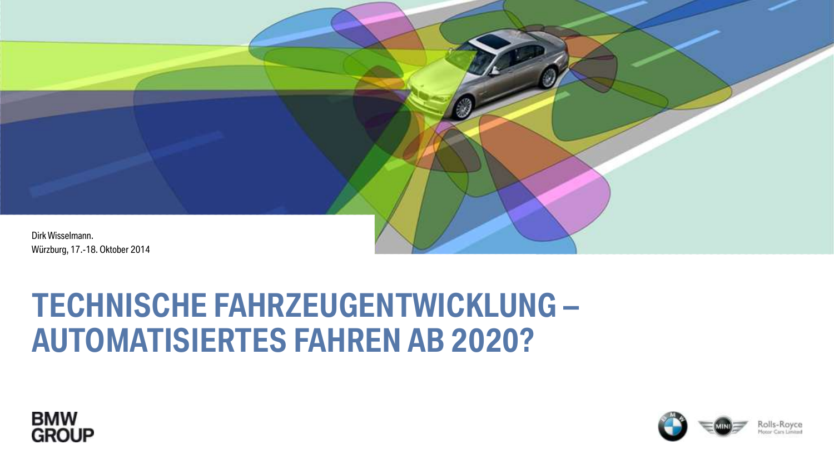

# **TECHNISCHE FAHRZEUGENTWICKLUNG – AUTOMATISIERTES FAHREN AB 2020?**



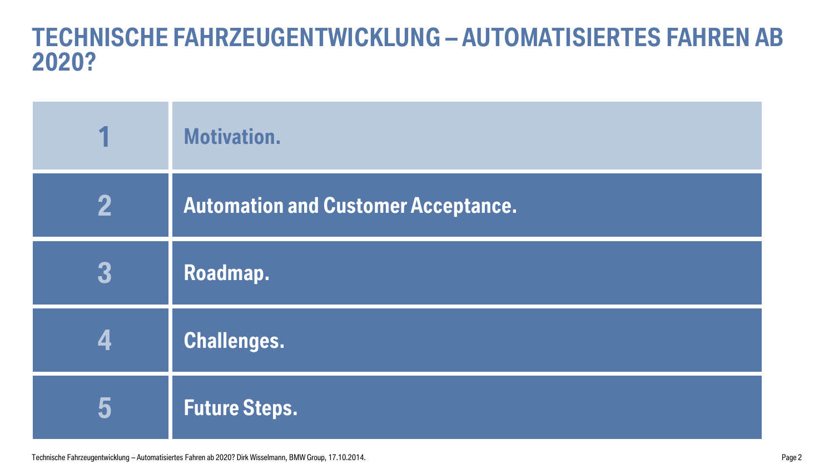### **TECHNISCHE FAHRZEUGENTWICKLUNG – AUTOMATISIERTES FAHREN AB 2020?**

|   | <b>Motivation.</b>                         |
|---|--------------------------------------------|
| 2 | <b>Automation and Customer Acceptance.</b> |
| 3 | Roadmap.                                   |
|   | <b>Challenges.</b>                         |
| 5 | <b>Future Steps.</b>                       |

Technische Fahrzeugentwicklung – Automatisiertes Fahren ab 2020? Dirk Wisselmann, BMW Group, 17.10.2014. Page 2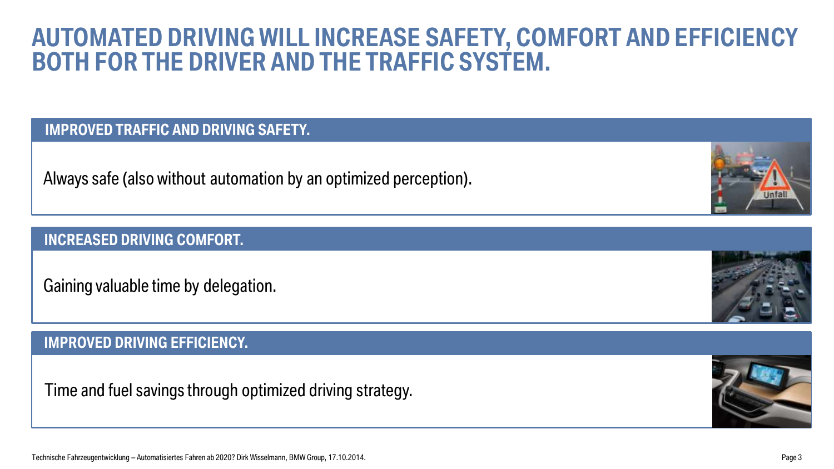### **AUTOMATED DRIVING WILL INCREASE SAFETY, COMFORT AND EFFICIENCY BOTH FOR THE DRIVER AND THE TRAFFIC SYSTEM.**

### **IMPROVED TRAFFIC AND DRIVING SAFETY.**

Always safe (also without automation by an optimized perception).

### **INCREASED DRIVING COMFORT.**

Gaining valuable time by delegation.

#### **XAX. IMPROVED DRIVING EFFICIENCY. IMPROVED DRIVING EFFICIENCY.**

Time and fuel savings through optimized driving strategy.



Page 3



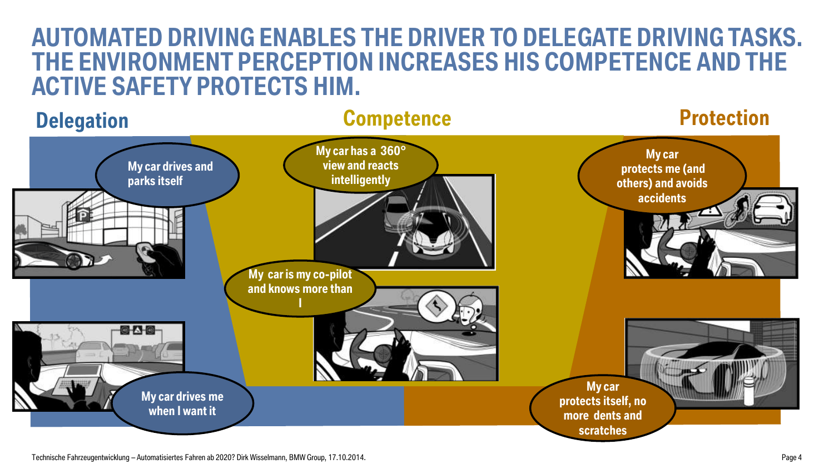### **AUTOMATED DRIVING ENABLES THE DRIVER TO DELEGATE DRIVING TASKS. THE ENVIRONMENT PERCEPTION INCREASES HIS COMPETENCE AND THE ACTIVE SAFETY PROTECTS HIM.**

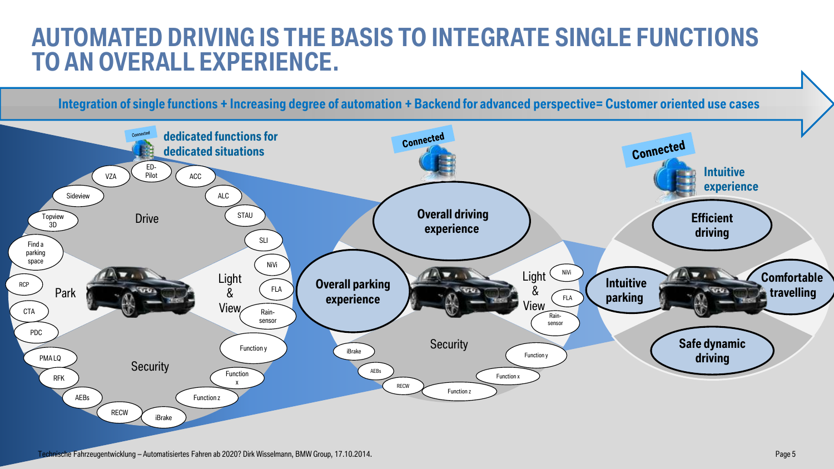### **AUTOMATED DRIVING IS THE BASIS TO INTEGRATE SINGLE FUNCTIONS TO AN OVERALL EXPERIENCE.**

**Integration of single functions + Increasing degree of automation + Backend for advanced perspective= Customer oriented use cases** 

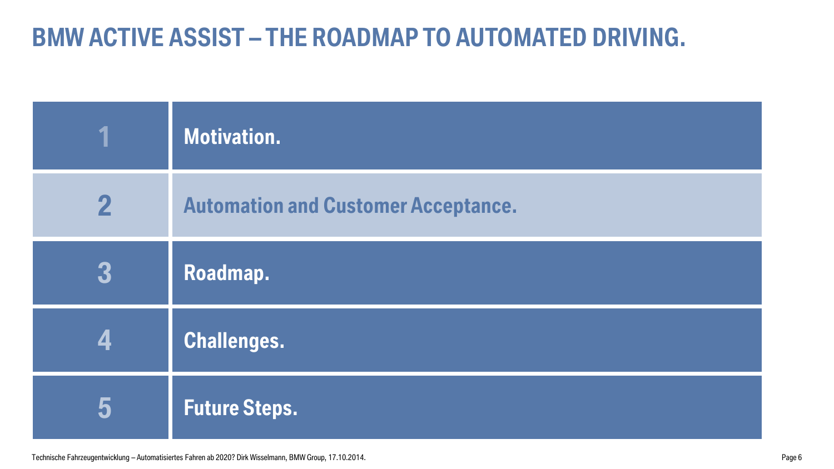## **BMW ACTIVE ASSIST – THE ROADMAP TO AUTOMATED DRIVING.**

|             | Motivation.                                |
|-------------|--------------------------------------------|
| $\mathbf 2$ | <b>Automation and Customer Acceptance.</b> |
| 3           | Roadmap.                                   |
|             | Challenges.                                |
| 5           | <b>Future Steps.</b>                       |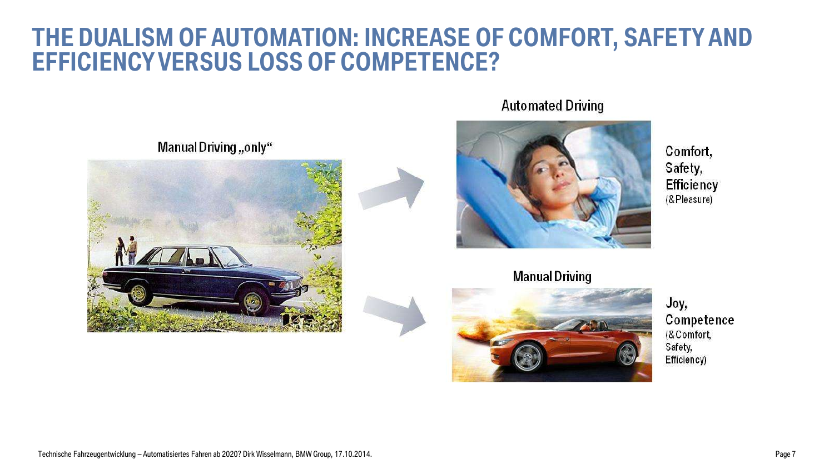### **THE DUALISM OF AUTOMATION: INCREASE OF COMFORT, SAFETY AND EFFICIENCY VERSUS LOSS OF COMPETENCE?**



Manual Driving "only"



**Automated Driving** 



Comfort, Safety, **Efficiency** (& Pleasure)

**Manual Driving** 



Joy, Competence (& Comfort, Safety, Efficiency)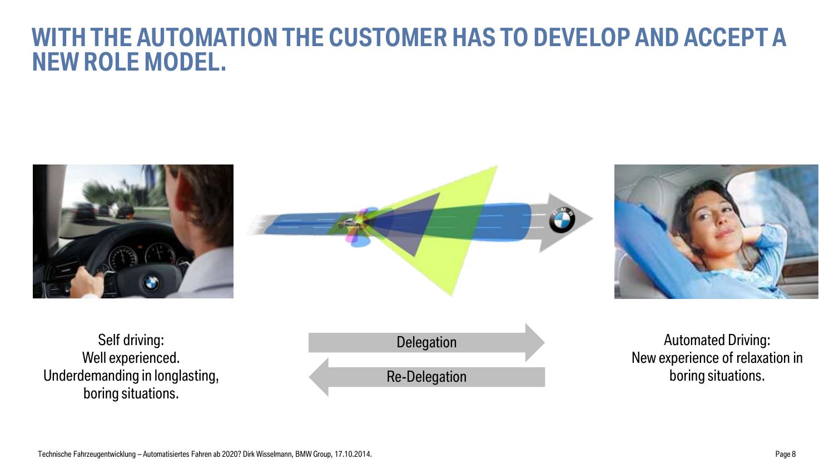### **WITH THE AUTOMATION THE CUSTOMER HAS TO DEVELOP AND ACCEPT A NEW ROLE MODEL.**







Self driving: Well experienced. Underdemanding in longlasting, boring situations.



Automated Driving: New experience of relaxation in boring situations.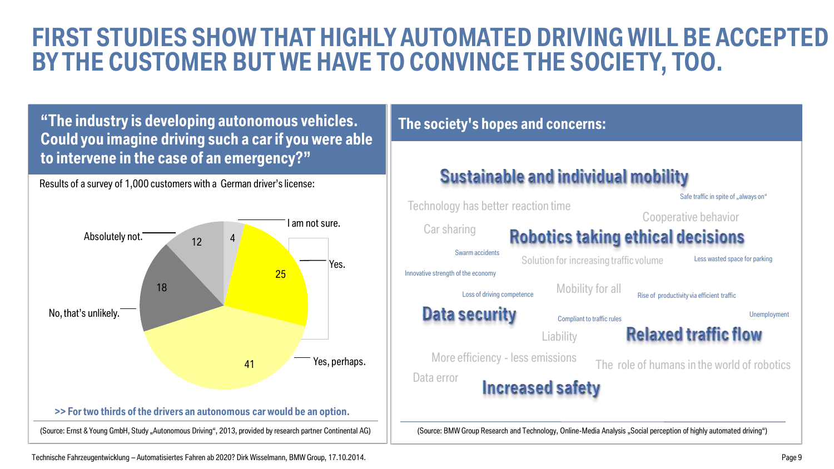### **FIRST STUDIES SHOW THAT HIGHLY AUTOMATED DRIVING WILL BE ACCEPTED BY THE CUSTOMER BUT WE HAVE TO CONVINCE THE SOCIETY, TOO.**

**"The industry is developing autonomous vehicles. Could you imagine driving such a car if you were able to intervene in the case of an emergency?"**

Results of a survey of 1,000 customers with a German driver's license:



#### **The society's hopes and concerns: Sustainable and individual mobility** Safe traffic in spite of "always on" Technology has better reaction time Cooperative behavior Car sharing **Robotics taking ethical decisions** Swarm accidents Solution for increasing traffic volume Less wasted space for parking Innovative strength of the economy Mobility for all Loss of driving competence **Rise of productivity via efficient traffic** Data security Unemployment Compliant to traffic rules **Relaxed traffic flow Liability** More efficiency - less emissions The role of humans in the world of robotics Data error **Increased safety** (Source: BMW Group Research and Technology, Online-Media Analysis "Social perception of highly automated driving")

Technische Fahrzeugentwicklung – Automatisiertes Fahren ab 2020? Dirk Wisselmann, BMW Group, 17.10.2014.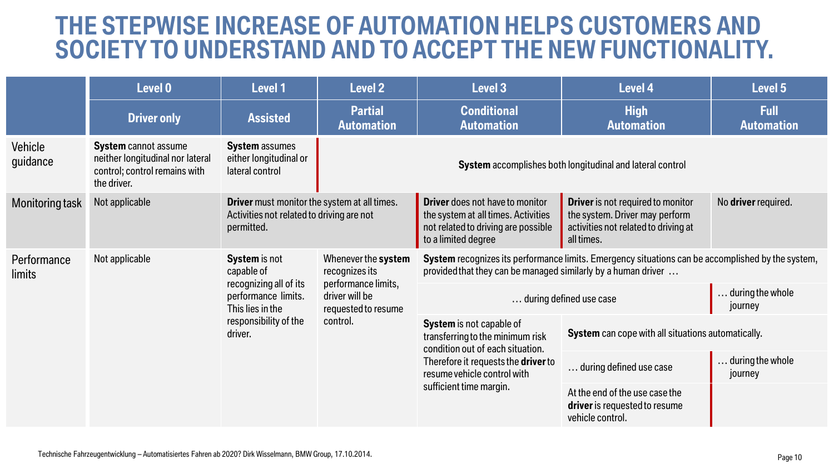### **THE STEPWISE INCREASE OF AUTOMATION HELPS CUSTOMERS AND SOCIETYTO UNDERSTAND AND TO ACCEPT THE NEW FUNCTIONALITY.**

|                       | Level 0                                                                                                         | <b>Level 1</b>                                                                                                                              | <b>Level 2</b>                                                                                                    | Level 3                                                                                                                                                                                           | Level 4                                                                                                                          | Level 5                          |
|-----------------------|-----------------------------------------------------------------------------------------------------------------|---------------------------------------------------------------------------------------------------------------------------------------------|-------------------------------------------------------------------------------------------------------------------|---------------------------------------------------------------------------------------------------------------------------------------------------------------------------------------------------|----------------------------------------------------------------------------------------------------------------------------------|----------------------------------|
|                       | <b>Driver only</b>                                                                                              | <b>Assisted</b>                                                                                                                             | <b>Partial</b><br><b>Automation</b>                                                                               | <b>Conditional</b><br><b>Automation</b>                                                                                                                                                           | <b>High</b><br><b>Automation</b>                                                                                                 | <b>Full</b><br><b>Automation</b> |
| Vehicle<br>guidance   | <b>System cannot assume</b><br>neither longitudinal nor lateral<br>control; control remains with<br>the driver. | <b>System</b> assumes<br>either longitudinal or<br>lateral control                                                                          |                                                                                                                   |                                                                                                                                                                                                   | System accomplishes both longitudinal and lateral control                                                                        |                                  |
| Monitoring task       | Not applicable                                                                                                  | Driver must monitor the system at all times.<br>Activities not related to driving are not<br>permitted.                                     |                                                                                                                   | <b>Driver</b> does not have to monitor<br>the system at all times. Activities<br>not related to driving are possible<br>to a limited degree                                                       | <b>Driver</b> is not required to monitor<br>the system. Driver may perform<br>activities not related to driving at<br>all times. | No driver required.              |
| Performance<br>limits | Not applicable                                                                                                  | <b>System</b> is not<br>capable of<br>recognizing all of its<br>performance limits.<br>This lies in the<br>responsibility of the<br>driver. | Whenever the system<br>recognizes its<br>performance limits,<br>driver will be<br>requested to resume<br>control. | System recognizes its performance limits. Emergency situations can be accomplished by the system,<br>provided that they can be managed similarly by a human driver                                |                                                                                                                                  |                                  |
|                       |                                                                                                                 |                                                                                                                                             |                                                                                                                   | during defined use case<br>journey                                                                                                                                                                |                                                                                                                                  | . during the whole               |
|                       |                                                                                                                 |                                                                                                                                             |                                                                                                                   | System is not capable of<br>transferring to the minimum risk<br>condition out of each situation.<br>Therefore it requests the driver to<br>resume vehicle control with<br>sufficient time margin. | System can cope with all situations automatically.                                                                               |                                  |
|                       |                                                                                                                 |                                                                                                                                             |                                                                                                                   |                                                                                                                                                                                                   | during defined use case                                                                                                          | during the whole<br>journey      |
|                       |                                                                                                                 |                                                                                                                                             |                                                                                                                   |                                                                                                                                                                                                   | At the end of the use case the<br>driver is requested to resume<br>vehicle control.                                              |                                  |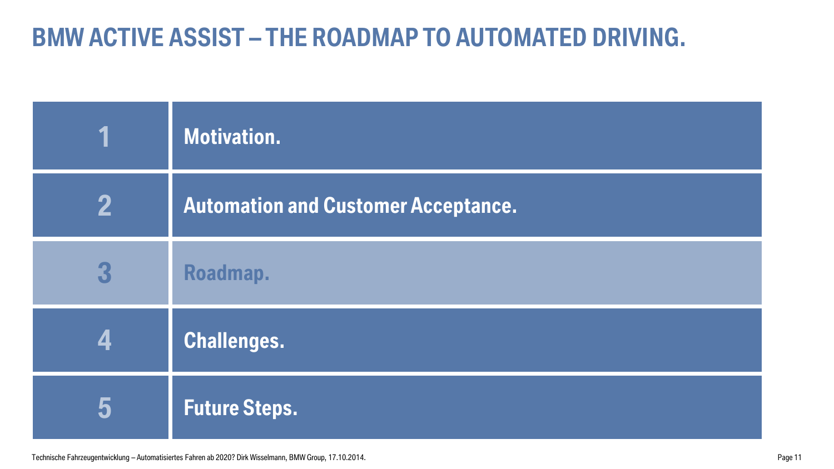## **BMW ACTIVE ASSIST – THE ROADMAP TO AUTOMATED DRIVING.**

|   | <b>Motivation.</b>                         |
|---|--------------------------------------------|
| 2 | <b>Automation and Customer Acceptance.</b> |
| 3 | Roadmap.                                   |
|   | <b>Challenges.</b>                         |
| 5 | <b>Future Steps.</b>                       |

Technische Fahrzeugentwicklung – Automatisiertes Fahren ab 2020? Dirk Wisselmann, BMW Group, 17.10.2014. Page 11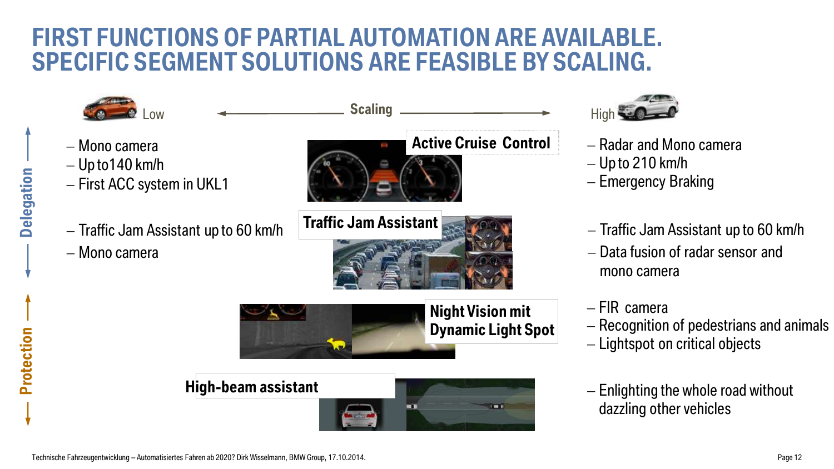### **FIRST FUNCTIONS OF PARTIAL AUTOMATION ARE AVAILABLE. SPECIFIC SEGMENT SOLUTIONS ARE FEASIBLE BY SCALING.**





- Radar and Mono camera
- $-$  Up to 210 km/h
- Emergency Braking
- $-$  Traffic Jam Assistant up to 60 km/h
- Data fusion of radar sensor and mono camera
- FIR camera
- Recognition of pedestrians and animals
- $-$  Lightspot on critical objects
- $-$  Enlighting the whole road without dazzling other vehicles

**Delegation**

**Protection**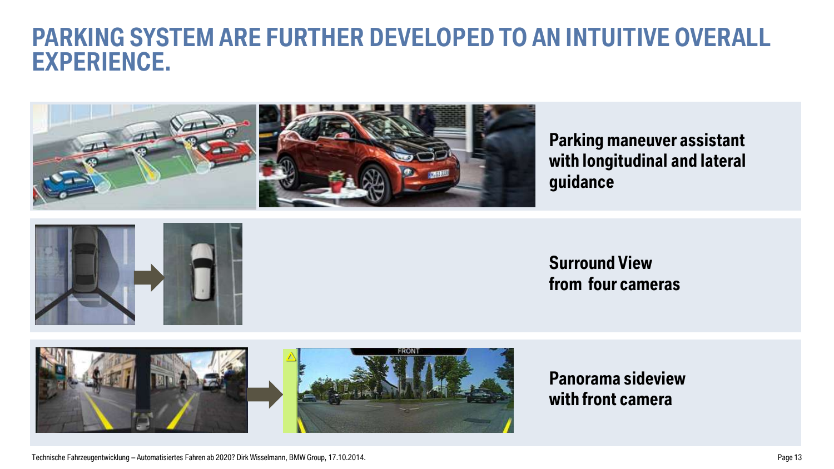### **PARKING SYSTEM ARE FURTHER DEVELOPED TO AN INTUITIVE OVERALL EXPERIENCE.**



**Parking maneuver assistant with longitudinal and lateral guidance**



### **Surround View from four cameras**



**Panorama sideview with front camera** 

Technische Fahrzeugentwicklung – Automatisiertes Fahren ab 2020? Dirk Wisselmann, BMW Group, 17.10.2014.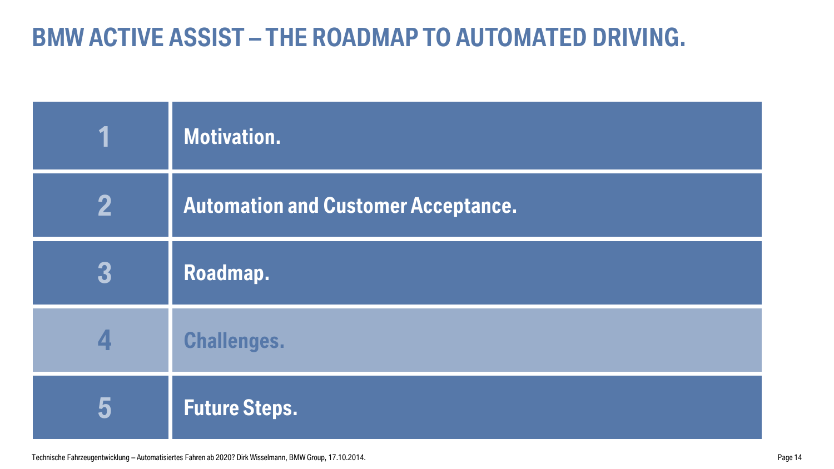## **BMW ACTIVE ASSIST – THE ROADMAP TO AUTOMATED DRIVING.**

|   | Motivation.                                |
|---|--------------------------------------------|
| 2 | <b>Automation and Customer Acceptance.</b> |
| 3 | Roadmap.                                   |
| 4 | <b>Challenges.</b>                         |
| 5 | <b>Future Steps.</b>                       |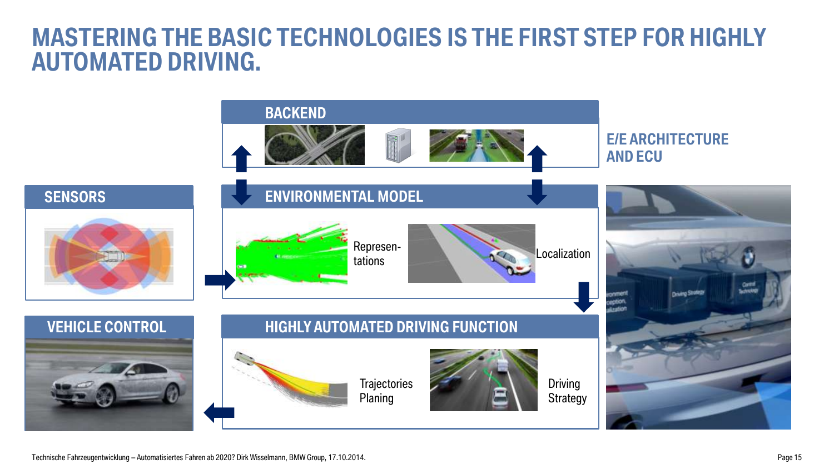### **MASTERING THE BASIC TECHNOLOGIES IS THE FIRST STEP FOR HIGHLY AUTOMATED DRIVING.**

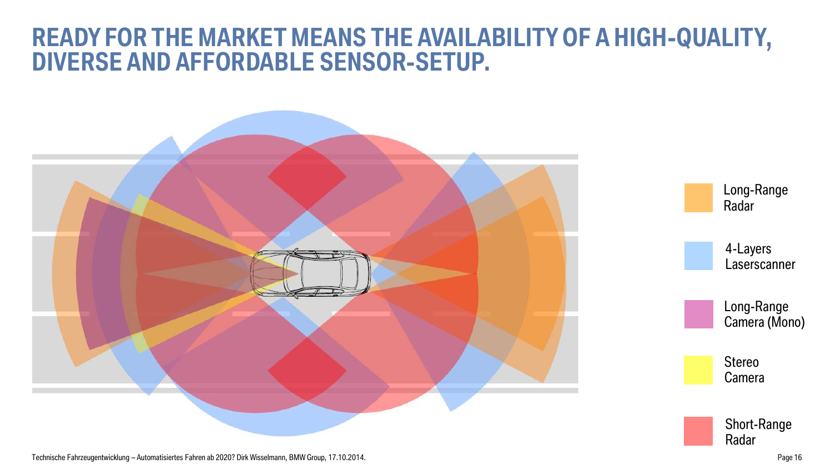### **READY FOR THE MARKET MEANS THE AVAILABILITY OF A HIGH-QUALITY, DIVERSE AND AFFORDABLE SENSOR-SETUP.**



Technische Fahrzeugentwicklung – Automatisiertes Fahren ab 2020? Dirk Wisselmann, BMW Group, 17.10.2014.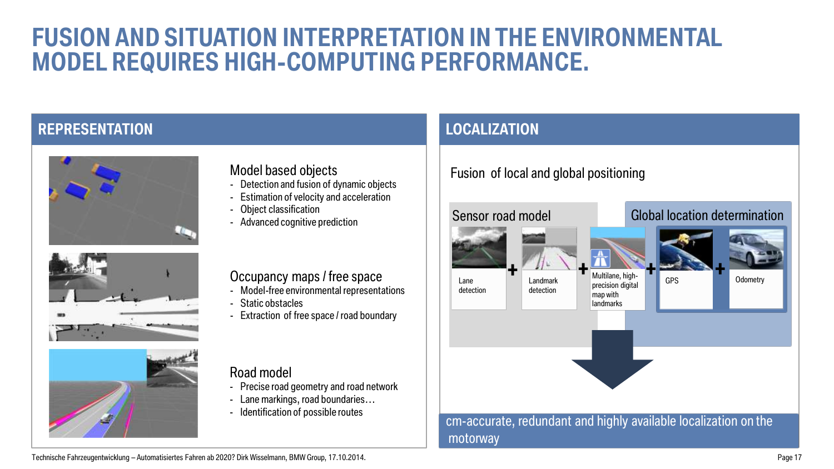### **FUSION AND SITUATION INTERPRETATION IN THE ENVIRONMENTAL MODEL REQUIRES HIGH-COMPUTING PERFORMANCE.**

### **REPRESENTATION Representations**







#### Model based objects

- Detection and fusion of dynamic objects
- Estimation of velocity and acceleration
- Object classification
- Advanced cognitive prediction

#### Occupancy maps / free space

- Model-free environmental representations
- Static obstacles
- **Extraction of free space / road boundary**

#### Road model

- Precise road geometry and road network
- Lane markings, road boundaries…
- Identification of possible routes

### **LOCALIZATION**

### Fusion of local and global positioning



Technische Fahrzeugentwicklung – Automatisiertes Fahren ab 2020? Dirk Wisselmann, BMW Group, 17.10.2014.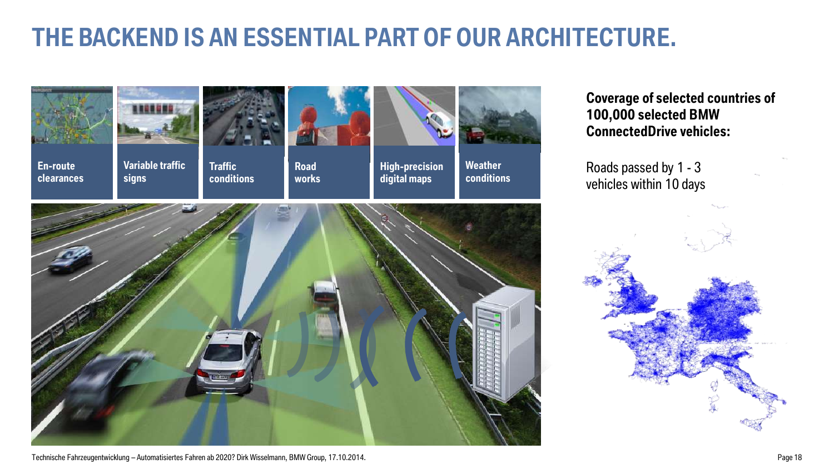## **THE BACKEND IS AN ESSENTIAL PART OF OUR ARCHITECTURE.**





**En-route clearances**

**Variable traffic signs**



**Traffic conditions**



**Road works**



**Weather conditions**

**High-precision digital maps**

**Coverage of selected countries of 100,000 selected BMW ConnectedDrive vehicles:**

Roads passed by 1 - 3 vehicles within 10 days



Technische Fahrzeugentwicklung – Automatisiertes Fahren ab 2020? Dirk Wisselmann, BMW Group, 17.10.2014. Page 18

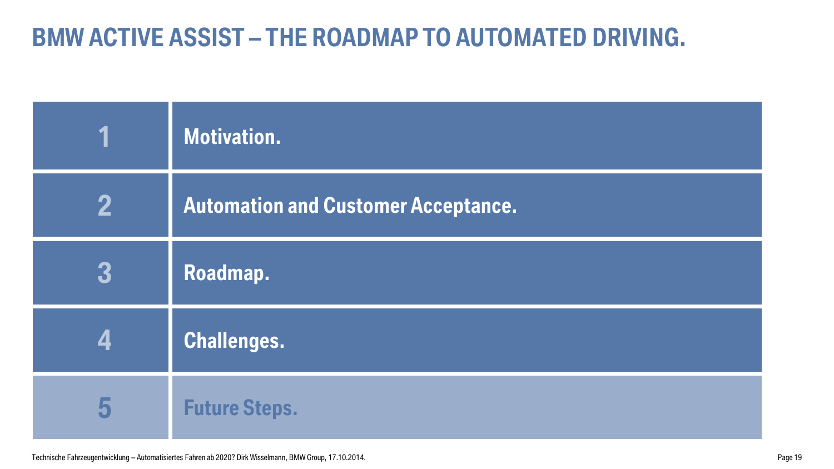## **BMW ACTIVE ASSIST – THE ROADMAP TO AUTOMATED DRIVING.**

|   | Motivation.                                |
|---|--------------------------------------------|
| 2 | <b>Automation and Customer Acceptance.</b> |
| 3 | Roadmap.                                   |
|   | <b>Challenges.</b>                         |
| 5 | <b>Future Steps.</b>                       |

Technische Fahrzeugentwicklung – Automatisiertes Fahren ab 2020? Dirk Wisselmann, BMW Group, 17.10.2014. Page 19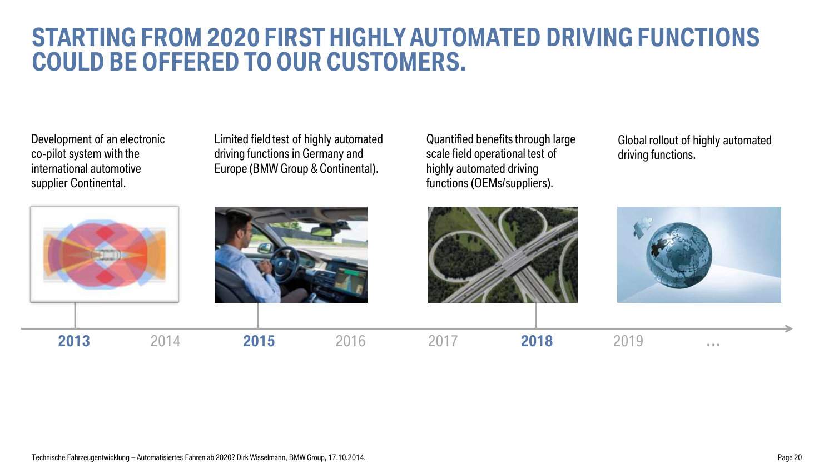### **STARTING FROM 2020 FIRST HIGHLY AUTOMATED DRIVING FUNCTIONS COULD BE OFFERED TO OUR CUSTOMERS.**

co-pilot system with the<br>international automotive Development of an electronic international automotive supplier Continental.

Limited field test of highly automated driving functions in Germany and Europe (BMW Group & Continental).

Quantified benefits through large scale field operational test of highly automated driving functions (OEMs/suppliers).

Global rollout of highly automated driving functions.